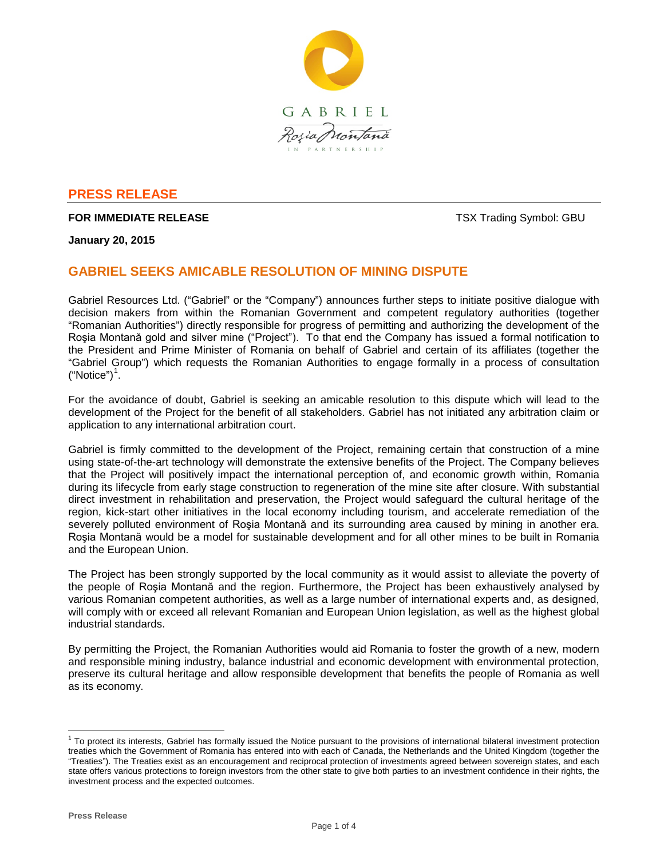

## **PRESS RELEASE**

## **FOR IMMEDIATE RELEASE** TRADING THE STATE OF THE STATE OF THE STATE OF THE STATE OF THE STATE OF THE STATE OF THE STATE OF THE STATE OF THE STATE OF THE STATE OF THE STATE OF THE STATE OF THE STATE OF THE STATE OF THE STAT

**January 20, 2015**

# **GABRIEL SEEKS AMICABLE RESOLUTION OF MINING DISPUTE**

Gabriel Resources Ltd. ("Gabriel" or the "Company") announces further steps to initiate positive dialogue with decision makers from within the Romanian Government and competent regulatory authorities (together "Romanian Authorities") directly responsible for progress of permitting and authorizing the development of the Roşia Montană gold and silver mine ("Project"). To that end the Company has issued a formal notification to the President and Prime Minister of Romania on behalf of Gabriel and certain of its affiliates (together the "Gabriel Group") which requests the Romanian Authorities to engage formally in a process of consultation  $("Notice")<sup>1</sup>.$  $("Notice")<sup>1</sup>.$  $("Notice")<sup>1</sup>.$ 

For the avoidance of doubt, Gabriel is seeking an amicable resolution to this dispute which will lead to the development of the Project for the benefit of all stakeholders. Gabriel has not initiated any arbitration claim or application to any international arbitration court.

Gabriel is firmly committed to the development of the Project, remaining certain that construction of a mine using state-of-the-art technology will demonstrate the extensive benefits of the Project. The Company believes that the Project will positively impact the international perception of, and economic growth within, Romania during its lifecycle from early stage construction to regeneration of the mine site after closure. With substantial direct investment in rehabilitation and preservation, the Project would safeguard the cultural heritage of the region, kick-start other initiatives in the local economy including tourism, and accelerate remediation of the severely polluted environment of Roşia Montană and its surrounding area caused by mining in another era. Roşia Montană would be a model for sustainable development and for all other mines to be built in Romania and the European Union.

The Project has been strongly supported by the local community as it would assist to alleviate the poverty of the people of Roşia Montană and the region. Furthermore, the Project has been exhaustively analysed by various Romanian competent authorities, as well as a large number of international experts and, as designed, will comply with or exceed all relevant Romanian and European Union legislation, as well as the highest global industrial standards.

By permitting the Project, the Romanian Authorities would aid Romania to foster the growth of a new, modern and responsible mining industry, balance industrial and economic development with environmental protection, preserve its cultural heritage and allow responsible development that benefits the people of Romania as well as its economy.

<span id="page-0-0"></span><sup>&</sup>lt;sup>1</sup> To protect its interests, Gabriel has formally issued the Notice pursuant to the provisions of international bilateral investment protection treaties which the Government of Romania has entered into with each of Canada, the Netherlands and the United Kingdom (together the "Treaties"). The Treaties exist as an encouragement and reciprocal protection of investments agreed between sovereign states, and each state offers various protections to foreign investors from the other state to give both parties to an investment confidence in their rights, the investment process and the expected outcomes.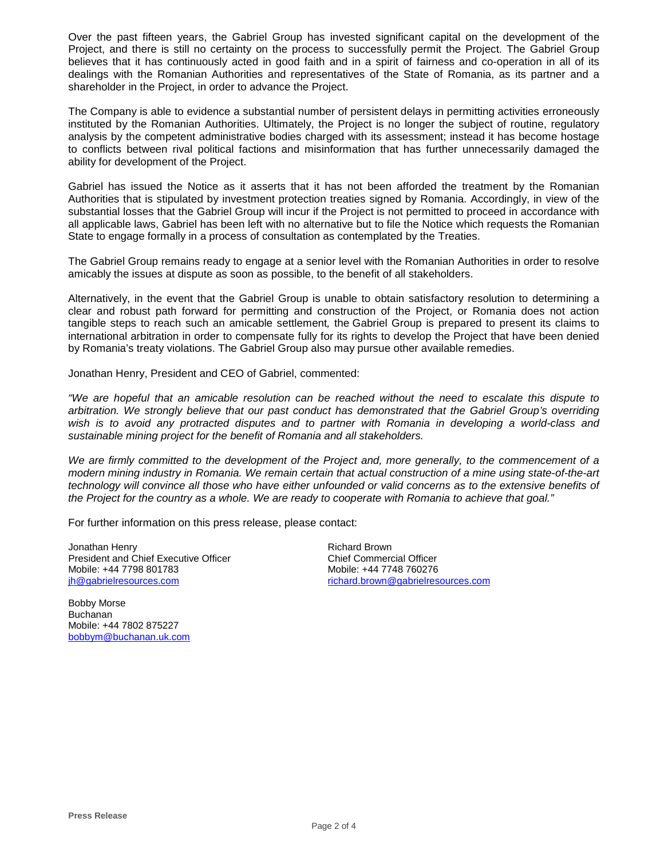Over the past fifteen years, the Gabriel Group has invested significant capital on the development of the Project, and there is still no certainty on the process to successfully permit the Project. The Gabriel Group believes that it has continuously acted in good faith and in a spirit of fairness and co-operation in all of its dealings with the Romanian Authorities and representatives of the State of Romania, as its partner and a shareholder in the Project, in order to advance the Project.

The Company is able to evidence a substantial number of persistent delays in permitting activities erroneously instituted by the Romanian Authorities. Ultimately, the Project is no longer the subject of routine, regulatory analysis by the competent administrative bodies charged with its assessment; instead it has become hostage to conflicts between rival political factions and misinformation that has further unnecessarily damaged the ability for development of the Project.

Gabriel has issued the Notice as it asserts that it has not been afforded the treatment by the Romanian Authorities that is stipulated by investment protection treaties signed by Romania. Accordingly, in view of the substantial losses that the Gabriel Group will incur if the Project is not permitted to proceed in accordance with all applicable laws, Gabriel has been left with no alternative but to file the Notice which requests the Romanian State to engage formally in a process of consultation as contemplated by the Treaties.

The Gabriel Group remains ready to engage at a senior level with the Romanian Authorities in order to resolve amicably the issues at dispute as soon as possible, to the benefit of all stakeholders.

Alternatively, in the event that the Gabriel Group is unable to obtain satisfactory resolution to determining a clear and robust path forward for permitting and construction of the Project, or Romania does not action tangible steps to reach such an amicable settlement*,* the Gabriel Group is prepared to present its claims to international arbitration in order to compensate fully for its rights to develop the Project that have been denied by Romania's treaty violations. The Gabriel Group also may pursue other available remedies.

Jonathan Henry, President and CEO of Gabriel, commented:

*"We are hopeful that an amicable resolution can be reached without the need to escalate this dispute to arbitration. We strongly believe that our past conduct has demonstrated that the Gabriel Group's overriding wish is to avoid any protracted disputes and to partner with Romania in developing a world-class and sustainable mining project for the benefit of Romania and all stakeholders.*

*We are firmly committed to the development of the Project and, more generally, to the commencement of a modern mining industry in Romania. We remain certain that actual construction of a mine using state-of-the-art technology will convince all those who have either unfounded or valid concerns as to the extensive benefits of the Project for the country as a whole. We are ready to cooperate with Romania to achieve that goal."*

For further information on this press release, please contact:

Jonathan Henry President and Chief Executive Officer Mobile: +44 7798 801783 [jh@gabrielresources.com](mailto:jh@gabrielresources.com)

Richard Brown Chief Commercial Officer Mobile: +44 7748 760276 richard.brown@gabrielresources.com

Bobby Morse Buchanan Mobile: +44 7802 875227 [bobbym@buchanan.uk.com](mailto:bobbym@buchanan.uk.com)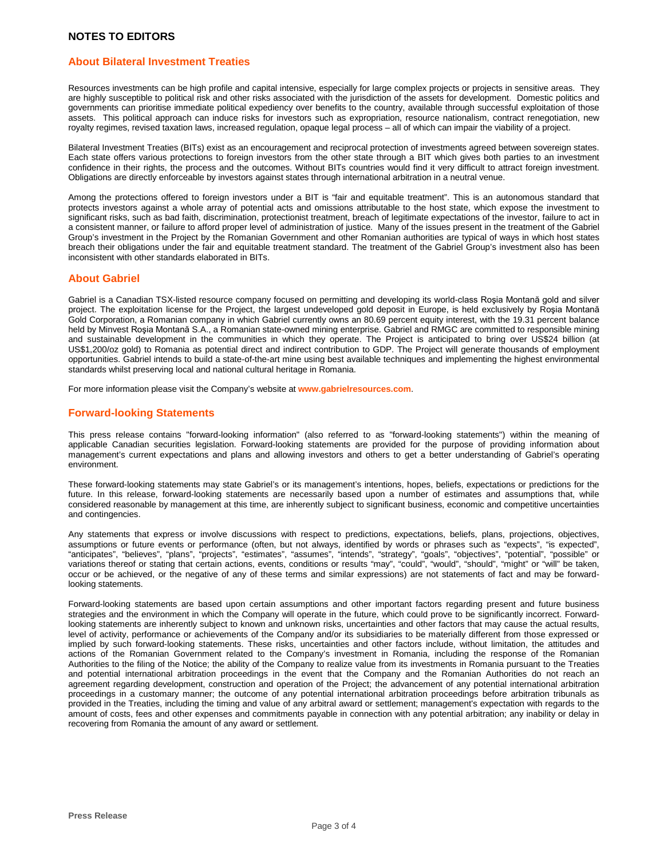### **About Bilateral Investment Treaties**

Resources investments can be high profile and capital intensive, especially for large complex projects or projects in sensitive areas. They are highly susceptible to political risk and other risks associated with the jurisdiction of the assets for development. Domestic politics and governments can prioritise immediate political expediency over benefits to the country, available through successful exploitation of those assets. This political approach can induce risks for investors such as expropriation, resource nationalism, contract renegotiation, new royalty regimes, revised taxation laws, increased regulation, opaque legal process – all of which can impair the viability of a project.

Bilateral Investment Treaties (BITs) exist as an encouragement and reciprocal protection of investments agreed between sovereign states. Each state offers various protections to foreign investors from the other state through a BIT which gives both parties to an investment confidence in their rights, the process and the outcomes. Without BITs countries would find it very difficult to attract foreign investment. Obligations are directly enforceable by investors against states through international arbitration in a neutral venue.

Among the protections offered to foreign investors under a BIT is "fair and equitable treatment". This is an autonomous standard that protects investors against a whole array of potential acts and omissions attributable to the host state, which expose the investment to significant risks, such as bad faith, discrimination, protectionist treatment, breach of legitimate expectations of the investor, failure to act in a consistent manner, or failure to afford proper level of administration of justice. Many of the issues present in the treatment of the Gabriel Group's investment in the Project by the Romanian Government and other Romanian authorities are typical of ways in which host states breach their obligations under the fair and equitable treatment standard. The treatment of the Gabriel Group's investment also has been inconsistent with other standards elaborated in BITs.

#### **About Gabriel**

Gabriel is a Canadian TSX-listed resource company focused on permitting and developing its world-class Roşia Montană gold and silver project. The exploitation license for the Project, the largest undeveloped gold deposit in Europe, is held exclusively by Roşia Montană Gold Corporation, a Romanian company in which Gabriel currently owns an 80.69 percent equity interest, with the 19.31 percent balance held by Minvest Roşia Montană S.A., a Romanian state-owned mining enterprise. Gabriel and RMGC are committed to responsible mining and sustainable development in the communities in which they operate. The Project is anticipated to bring over US\$24 billion (at US\$1,200/oz gold) to Romania as potential direct and indirect contribution to GDP. The Project will generate thousands of employment opportunities. Gabriel intends to build a state-of-the-art mine using best available techniques and implementing the highest environmental standards whilst preserving local and national cultural heritage in Romania.

For more information please visit the Company's website at **www.gabrielresources.com**.

#### **Forward-looking Statements**

This press release contains "forward-looking information" (also referred to as "forward-looking statements") within the meaning of applicable Canadian securities legislation. Forward-looking statements are provided for the purpose of providing information about management's current expectations and plans and allowing investors and others to get a better understanding of Gabriel's operating environment.

These forward-looking statements may state Gabriel's or its management's intentions, hopes, beliefs, expectations or predictions for the future. In this release, forward-looking statements are necessarily based upon a number of estimates and assumptions that, while considered reasonable by management at this time, are inherently subject to significant business, economic and competitive uncertainties and contingencies.

Any statements that express or involve discussions with respect to predictions, expectations, beliefs, plans, projections, objectives, assumptions or future events or performance (often, but not always, identified by words or phrases such as "expects", "is expected", "anticipates", "believes", "plans", "projects", "estimates", "assumes", "intends", "strategy", "goals", "objectives", "potential", "possible" or variations thereof or stating that certain actions, events, conditions or results "may", "could", "would", "should", "might" or "will" be taken, occur or be achieved, or the negative of any of these terms and similar expressions) are not statements of fact and may be forwardlooking statements.

Forward-looking statements are based upon certain assumptions and other important factors regarding present and future business strategies and the environment in which the Company will operate in the future, which could prove to be significantly incorrect. Forwardlooking statements are inherently subject to known and unknown risks, uncertainties and other factors that may cause the actual results, level of activity, performance or achievements of the Company and/or its subsidiaries to be materially different from those expressed or implied by such forward-looking statements. These risks, uncertainties and other factors include, without limitation, the attitudes and actions of the Romanian Government related to the Company's investment in Romania, including the response of the Romanian Authorities to the filing of the Notice; the ability of the Company to realize value from its investments in Romania pursuant to the Treaties and potential international arbitration proceedings in the event that the Company and the Romanian Authorities do not reach an agreement regarding development, construction and operation of the Project; the advancement of any potential international arbitration proceedings in a customary manner; the outcome of any potential international arbitration proceedings before arbitration tribunals as provided in the Treaties, including the timing and value of any arbitral award or settlement; management's expectation with regards to the amount of costs, fees and other expenses and commitments payable in connection with any potential arbitration; any inability or delay in recovering from Romania the amount of any award or settlement.